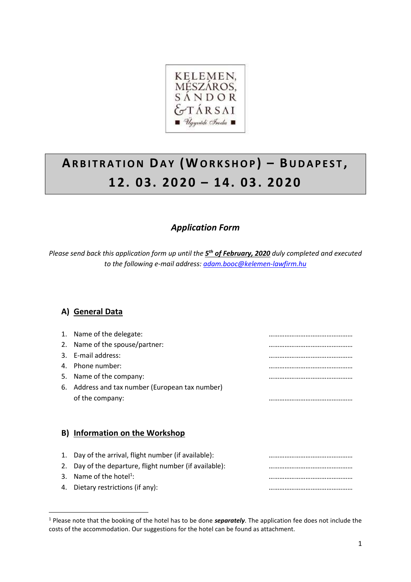

# **AR B I T R A T I O N DA Y ( WO R K S H O P ) – BU D A P E S T , 1 2. 03. 2 02 0 – 1 4. 0 3 . 2 02 0**

## *Application Form*

*Please send back this application form up until the 5 th of February, 2020 duly completed and executed to the following e-mail address[: adam.booc@kelemen-lawfirm.hu](mailto:adam.booc@kelemen-lawfirm.hu)*

## **A) General Data**

1

| 2.<br>3.<br>4.<br>5.<br>6. | 1. Name of the delegate:<br>Name of the spouse/partner:<br>E-mail address:<br>Phone number:<br>Name of the company:<br>Address and tax number (European tax number)<br>of the company: | <br><br> |
|----------------------------|----------------------------------------------------------------------------------------------------------------------------------------------------------------------------------------|----------|
|                            | B) Information on the Workshop                                                                                                                                                         |          |
| 1.<br>2.<br>3.<br>4.       | Day of the arrival, flight number (if available):<br>Day of the departure, flight number (if available):<br>Name of the hotel <sup>1</sup> :<br>Dietary restrictions (if any):         |          |

<sup>1</sup> Please note that the booking of the hotel has to be done *separately*. The application fee does not include the costs of the accommodation. Our suggestions for the hotel can be found as attachment.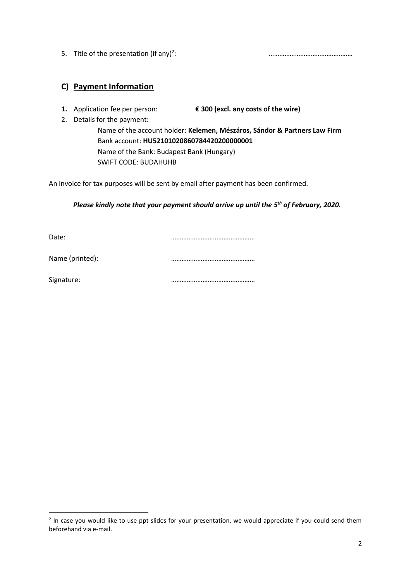5. Title of the presentation (if any)<sup>2</sup>:

: …………………………………………

## **C) Payment Information**

**1.** Application fee per person: **€ 300 (excl. any costs of the wire)**

2. Details for the payment:

Name of the account holder: **Kelemen, Mészáros, Sándor & Partners Law Firm** Bank account: **HU52101020860784420200000001** Name of the Bank: Budapest Bank (Hungary) SWIFT CODE: BUDAHUHB

An invoice for tax purposes will be sent by email after payment has been confirmed.

#### *Please kindly note that your payment should arrive up until the 5 th of February, 2020.*

Date: **manufacturers** and the contract of the contract of the contract of the contract of the contract of the contract of the contract of the contract of the contract of the contract of the contract of the contract of the

Name (printed): **with a contract of the contract of the contract of the contract of the contract of the contract of the contract of the contract of the contract of the contract of the contract of the contract of the contra** 

Signature: …………………………………………

1

<sup>&</sup>lt;sup>2</sup> In case you would like to use ppt slides for your presentation, we would appreciate if you could send them beforehand via e-mail.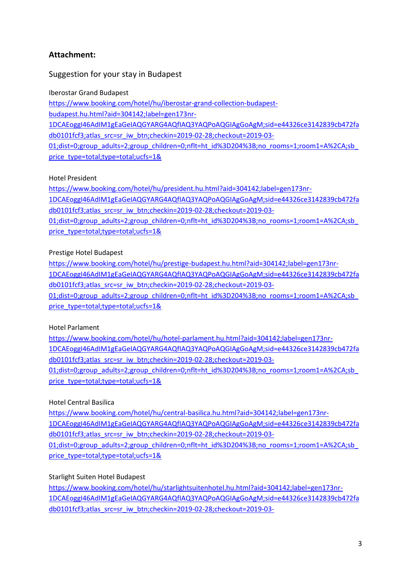## **Attachment:**

## Suggestion for your stay in Budapest

#### Iberostar Grand Budapest

[https://www.booking.com/hotel/hu/iberostar-grand-collection-budapest](https://www.booking.com/hotel/hu/iberostar-grand-collection-budapest-budapest.hu.html?aid=304142;label=gen173nr-1DCAEoggI46AdIM1gEaGeIAQGYARG4AQfIAQ3YAQPoAQGIAgGoAgM;sid=e44326ce3142839cb472fadb0101fcf3;atlas_src=sr_iw_btn;checkin=2019-02-28;checkout=2019-03-01;dist=0;group_adults=2;group_children=0;nflt=ht_id=204;;no_rooms=1;room1=A,A;sb_price_type=total;type=total;ucfs=1&)[budapest.hu.html?aid=304142;label=gen173nr-](https://www.booking.com/hotel/hu/iberostar-grand-collection-budapest-budapest.hu.html?aid=304142;label=gen173nr-1DCAEoggI46AdIM1gEaGeIAQGYARG4AQfIAQ3YAQPoAQGIAgGoAgM;sid=e44326ce3142839cb472fadb0101fcf3;atlas_src=sr_iw_btn;checkin=2019-02-28;checkout=2019-03-01;dist=0;group_adults=2;group_children=0;nflt=ht_id=204;;no_rooms=1;room1=A,A;sb_price_type=total;type=total;ucfs=1&)[1DCAEoggI46AdIM1gEaGeIAQGYARG4AQfIAQ3YAQPoAQGIAgGoAgM;sid=e44326ce3142839cb472fa](https://www.booking.com/hotel/hu/iberostar-grand-collection-budapest-budapest.hu.html?aid=304142;label=gen173nr-1DCAEoggI46AdIM1gEaGeIAQGYARG4AQfIAQ3YAQPoAQGIAgGoAgM;sid=e44326ce3142839cb472fadb0101fcf3;atlas_src=sr_iw_btn;checkin=2019-02-28;checkout=2019-03-01;dist=0;group_adults=2;group_children=0;nflt=ht_id=204;;no_rooms=1;room1=A,A;sb_price_type=total;type=total;ucfs=1&) [db0101fcf3;atlas\\_src=sr\\_iw\\_btn;checkin=2019-02-28;checkout=2019-03-](https://www.booking.com/hotel/hu/iberostar-grand-collection-budapest-budapest.hu.html?aid=304142;label=gen173nr-1DCAEoggI46AdIM1gEaGeIAQGYARG4AQfIAQ3YAQPoAQGIAgGoAgM;sid=e44326ce3142839cb472fadb0101fcf3;atlas_src=sr_iw_btn;checkin=2019-02-28;checkout=2019-03-01;dist=0;group_adults=2;group_children=0;nflt=ht_id=204;;no_rooms=1;room1=A,A;sb_price_type=total;type=total;ucfs=1&) [01;dist=0;group\\_adults=2;group\\_children=0;nflt=ht\\_id%3D204%3B;no\\_rooms=1;room1=A%2CA;sb\\_](https://www.booking.com/hotel/hu/iberostar-grand-collection-budapest-budapest.hu.html?aid=304142;label=gen173nr-1DCAEoggI46AdIM1gEaGeIAQGYARG4AQfIAQ3YAQPoAQGIAgGoAgM;sid=e44326ce3142839cb472fadb0101fcf3;atlas_src=sr_iw_btn;checkin=2019-02-28;checkout=2019-03-01;dist=0;group_adults=2;group_children=0;nflt=ht_id=204;;no_rooms=1;room1=A,A;sb_price_type=total;type=total;ucfs=1&) [price\\_type=total;type=total;ucfs=1&](https://www.booking.com/hotel/hu/iberostar-grand-collection-budapest-budapest.hu.html?aid=304142;label=gen173nr-1DCAEoggI46AdIM1gEaGeIAQGYARG4AQfIAQ3YAQPoAQGIAgGoAgM;sid=e44326ce3142839cb472fadb0101fcf3;atlas_src=sr_iw_btn;checkin=2019-02-28;checkout=2019-03-01;dist=0;group_adults=2;group_children=0;nflt=ht_id=204;;no_rooms=1;room1=A,A;sb_price_type=total;type=total;ucfs=1&)

#### Hotel President

[https://www.booking.com/hotel/hu/president.hu.html?aid=304142;label=gen173nr-](https://www.booking.com/hotel/hu/president.hu.html?aid=304142;label=gen173nr-1DCAEoggI46AdIM1gEaGeIAQGYARG4AQfIAQ3YAQPoAQGIAgGoAgM;sid=e44326ce3142839cb472fadb0101fcf3;atlas_src=sr_iw_btn;checkin=2019-02-28;checkout=2019-03-01;dist=0;group_adults=2;group_children=0;nflt=ht_id=204;;no_rooms=1;room1=A,A;sb_price_type=total;type=total;ucfs=1&)[1DCAEoggI46AdIM1gEaGeIAQGYARG4AQfIAQ3YAQPoAQGIAgGoAgM;sid=e44326ce3142839cb472fa](https://www.booking.com/hotel/hu/president.hu.html?aid=304142;label=gen173nr-1DCAEoggI46AdIM1gEaGeIAQGYARG4AQfIAQ3YAQPoAQGIAgGoAgM;sid=e44326ce3142839cb472fadb0101fcf3;atlas_src=sr_iw_btn;checkin=2019-02-28;checkout=2019-03-01;dist=0;group_adults=2;group_children=0;nflt=ht_id=204;;no_rooms=1;room1=A,A;sb_price_type=total;type=total;ucfs=1&) [db0101fcf3;atlas\\_src=sr\\_iw\\_btn;checkin=2019-02-28;checkout=2019-03-](https://www.booking.com/hotel/hu/president.hu.html?aid=304142;label=gen173nr-1DCAEoggI46AdIM1gEaGeIAQGYARG4AQfIAQ3YAQPoAQGIAgGoAgM;sid=e44326ce3142839cb472fadb0101fcf3;atlas_src=sr_iw_btn;checkin=2019-02-28;checkout=2019-03-01;dist=0;group_adults=2;group_children=0;nflt=ht_id=204;;no_rooms=1;room1=A,A;sb_price_type=total;type=total;ucfs=1&) 01;dist=0;group\_adults=2;group\_children=0;nflt=ht\_id%3D204%3B;no\_rooms=1;room1=A%2CA;sb [price\\_type=total;type=total;ucfs=1&](https://www.booking.com/hotel/hu/president.hu.html?aid=304142;label=gen173nr-1DCAEoggI46AdIM1gEaGeIAQGYARG4AQfIAQ3YAQPoAQGIAgGoAgM;sid=e44326ce3142839cb472fadb0101fcf3;atlas_src=sr_iw_btn;checkin=2019-02-28;checkout=2019-03-01;dist=0;group_adults=2;group_children=0;nflt=ht_id=204;;no_rooms=1;room1=A,A;sb_price_type=total;type=total;ucfs=1&)

#### Prestige Hotel Budapest

[https://www.booking.com/hotel/hu/prestige-budapest.hu.html?aid=304142;label=gen173nr-](https://www.booking.com/hotel/hu/prestige-budapest.hu.html?aid=304142;label=gen173nr-1DCAEoggI46AdIM1gEaGeIAQGYARG4AQfIAQ3YAQPoAQGIAgGoAgM;sid=e44326ce3142839cb472fadb0101fcf3;atlas_src=sr_iw_btn;checkin=2019-02-28;checkout=2019-03-01;dist=0;group_adults=2;group_children=0;nflt=ht_id=204;;no_rooms=1;room1=A,A;sb_price_type=total;type=total;ucfs=1&)[1DCAEoggI46AdIM1gEaGeIAQGYARG4AQfIAQ3YAQPoAQGIAgGoAgM;sid=e44326ce3142839cb472fa](https://www.booking.com/hotel/hu/prestige-budapest.hu.html?aid=304142;label=gen173nr-1DCAEoggI46AdIM1gEaGeIAQGYARG4AQfIAQ3YAQPoAQGIAgGoAgM;sid=e44326ce3142839cb472fadb0101fcf3;atlas_src=sr_iw_btn;checkin=2019-02-28;checkout=2019-03-01;dist=0;group_adults=2;group_children=0;nflt=ht_id=204;;no_rooms=1;room1=A,A;sb_price_type=total;type=total;ucfs=1&) [db0101fcf3;atlas\\_src=sr\\_iw\\_btn;checkin=2019-02-28;checkout=2019-03-](https://www.booking.com/hotel/hu/prestige-budapest.hu.html?aid=304142;label=gen173nr-1DCAEoggI46AdIM1gEaGeIAQGYARG4AQfIAQ3YAQPoAQGIAgGoAgM;sid=e44326ce3142839cb472fadb0101fcf3;atlas_src=sr_iw_btn;checkin=2019-02-28;checkout=2019-03-01;dist=0;group_adults=2;group_children=0;nflt=ht_id=204;;no_rooms=1;room1=A,A;sb_price_type=total;type=total;ucfs=1&) 01;dist=0;group\_adults=2;group\_children=0;nflt=ht\_id%3D204%3B;no\_rooms=1;room1=A%2CA;sb [price\\_type=total;type=total;ucfs=1&](https://www.booking.com/hotel/hu/prestige-budapest.hu.html?aid=304142;label=gen173nr-1DCAEoggI46AdIM1gEaGeIAQGYARG4AQfIAQ3YAQPoAQGIAgGoAgM;sid=e44326ce3142839cb472fadb0101fcf3;atlas_src=sr_iw_btn;checkin=2019-02-28;checkout=2019-03-01;dist=0;group_adults=2;group_children=0;nflt=ht_id=204;;no_rooms=1;room1=A,A;sb_price_type=total;type=total;ucfs=1&)

#### Hotel Parlament

[https://www.booking.com/hotel/hu/hotel-parlament.hu.html?aid=304142;label=gen173nr-](https://www.booking.com/hotel/hu/hotel-parlament.hu.html?aid=304142;label=gen173nr-1DCAEoggI46AdIM1gEaGeIAQGYARG4AQfIAQ3YAQPoAQGIAgGoAgM;sid=e44326ce3142839cb472fadb0101fcf3;atlas_src=sr_iw_btn;checkin=2019-02-28;checkout=2019-03-01;dist=0;group_adults=2;group_children=0;nflt=ht_id=204;;no_rooms=1;room1=A,A;sb_price_type=total;type=total;ucfs=1&)[1DCAEoggI46AdIM1gEaGeIAQGYARG4AQfIAQ3YAQPoAQGIAgGoAgM;sid=e44326ce3142839cb472fa](https://www.booking.com/hotel/hu/hotel-parlament.hu.html?aid=304142;label=gen173nr-1DCAEoggI46AdIM1gEaGeIAQGYARG4AQfIAQ3YAQPoAQGIAgGoAgM;sid=e44326ce3142839cb472fadb0101fcf3;atlas_src=sr_iw_btn;checkin=2019-02-28;checkout=2019-03-01;dist=0;group_adults=2;group_children=0;nflt=ht_id=204;;no_rooms=1;room1=A,A;sb_price_type=total;type=total;ucfs=1&) [db0101fcf3;atlas\\_src=sr\\_iw\\_btn;checkin=2019-02-28;checkout=2019-03-](https://www.booking.com/hotel/hu/hotel-parlament.hu.html?aid=304142;label=gen173nr-1DCAEoggI46AdIM1gEaGeIAQGYARG4AQfIAQ3YAQPoAQGIAgGoAgM;sid=e44326ce3142839cb472fadb0101fcf3;atlas_src=sr_iw_btn;checkin=2019-02-28;checkout=2019-03-01;dist=0;group_adults=2;group_children=0;nflt=ht_id=204;;no_rooms=1;room1=A,A;sb_price_type=total;type=total;ucfs=1&) 01;dist=0;group\_adults=2;group\_children=0;nflt=ht\_id%3D204%3B;no\_rooms=1;room1=A%2CA;sb [price\\_type=total;type=total;ucfs=1&](https://www.booking.com/hotel/hu/hotel-parlament.hu.html?aid=304142;label=gen173nr-1DCAEoggI46AdIM1gEaGeIAQGYARG4AQfIAQ3YAQPoAQGIAgGoAgM;sid=e44326ce3142839cb472fadb0101fcf3;atlas_src=sr_iw_btn;checkin=2019-02-28;checkout=2019-03-01;dist=0;group_adults=2;group_children=0;nflt=ht_id=204;;no_rooms=1;room1=A,A;sb_price_type=total;type=total;ucfs=1&)

#### Hotel Central Basilica

[https://www.booking.com/hotel/hu/central-basilica.hu.html?aid=304142;label=gen173nr-](https://www.booking.com/hotel/hu/central-basilica.hu.html?aid=304142;label=gen173nr-1DCAEoggI46AdIM1gEaGeIAQGYARG4AQfIAQ3YAQPoAQGIAgGoAgM;sid=e44326ce3142839cb472fadb0101fcf3;atlas_src=sr_iw_btn;checkin=2019-02-28;checkout=2019-03-01;dist=0;group_adults=2;group_children=0;nflt=ht_id=204;;no_rooms=1;room1=A,A;sb_price_type=total;type=total;ucfs=1&)[1DCAEoggI46AdIM1gEaGeIAQGYARG4AQfIAQ3YAQPoAQGIAgGoAgM;sid=e44326ce3142839cb472fa](https://www.booking.com/hotel/hu/central-basilica.hu.html?aid=304142;label=gen173nr-1DCAEoggI46AdIM1gEaGeIAQGYARG4AQfIAQ3YAQPoAQGIAgGoAgM;sid=e44326ce3142839cb472fadb0101fcf3;atlas_src=sr_iw_btn;checkin=2019-02-28;checkout=2019-03-01;dist=0;group_adults=2;group_children=0;nflt=ht_id=204;;no_rooms=1;room1=A,A;sb_price_type=total;type=total;ucfs=1&) [db0101fcf3;atlas\\_src=sr\\_iw\\_btn;checkin=2019-02-28;checkout=2019-03-](https://www.booking.com/hotel/hu/central-basilica.hu.html?aid=304142;label=gen173nr-1DCAEoggI46AdIM1gEaGeIAQGYARG4AQfIAQ3YAQPoAQGIAgGoAgM;sid=e44326ce3142839cb472fadb0101fcf3;atlas_src=sr_iw_btn;checkin=2019-02-28;checkout=2019-03-01;dist=0;group_adults=2;group_children=0;nflt=ht_id=204;;no_rooms=1;room1=A,A;sb_price_type=total;type=total;ucfs=1&) 01;dist=0;group\_adults=2;group\_children=0;nflt=ht\_id%3D204%3B;no\_rooms=1;room1=A%2CA;sb [price\\_type=total;type=total;ucfs=1&](https://www.booking.com/hotel/hu/central-basilica.hu.html?aid=304142;label=gen173nr-1DCAEoggI46AdIM1gEaGeIAQGYARG4AQfIAQ3YAQPoAQGIAgGoAgM;sid=e44326ce3142839cb472fadb0101fcf3;atlas_src=sr_iw_btn;checkin=2019-02-28;checkout=2019-03-01;dist=0;group_adults=2;group_children=0;nflt=ht_id=204;;no_rooms=1;room1=A,A;sb_price_type=total;type=total;ucfs=1&)

#### Starlight Suiten Hotel Budapest

[https://www.booking.com/hotel/hu/starlightsuitenhotel.hu.html?aid=304142;label=gen173nr-](https://www.booking.com/hotel/hu/starlightsuitenhotel.hu.html?aid=304142;label=gen173nr-1DCAEoggI46AdIM1gEaGeIAQGYARG4AQfIAQ3YAQPoAQGIAgGoAgM;sid=e44326ce3142839cb472fadb0101fcf3;atlas_src=sr_iw_btn;checkin=2019-02-28;checkout=2019-03-01;dist=0;group_adults=2;group_children=0;nflt=ht_id=204;;no_rooms=1;room1=A,A;sb_price_type=total;type=total;ucfs=1&)[1DCAEoggI46AdIM1gEaGeIAQGYARG4AQfIAQ3YAQPoAQGIAgGoAgM;sid=e44326ce3142839cb472fa](https://www.booking.com/hotel/hu/starlightsuitenhotel.hu.html?aid=304142;label=gen173nr-1DCAEoggI46AdIM1gEaGeIAQGYARG4AQfIAQ3YAQPoAQGIAgGoAgM;sid=e44326ce3142839cb472fadb0101fcf3;atlas_src=sr_iw_btn;checkin=2019-02-28;checkout=2019-03-01;dist=0;group_adults=2;group_children=0;nflt=ht_id=204;;no_rooms=1;room1=A,A;sb_price_type=total;type=total;ucfs=1&) [db0101fcf3;atlas\\_src=sr\\_iw\\_btn;checkin=2019-02-28;checkout=2019-03-](https://www.booking.com/hotel/hu/starlightsuitenhotel.hu.html?aid=304142;label=gen173nr-1DCAEoggI46AdIM1gEaGeIAQGYARG4AQfIAQ3YAQPoAQGIAgGoAgM;sid=e44326ce3142839cb472fadb0101fcf3;atlas_src=sr_iw_btn;checkin=2019-02-28;checkout=2019-03-01;dist=0;group_adults=2;group_children=0;nflt=ht_id=204;;no_rooms=1;room1=A,A;sb_price_type=total;type=total;ucfs=1&)